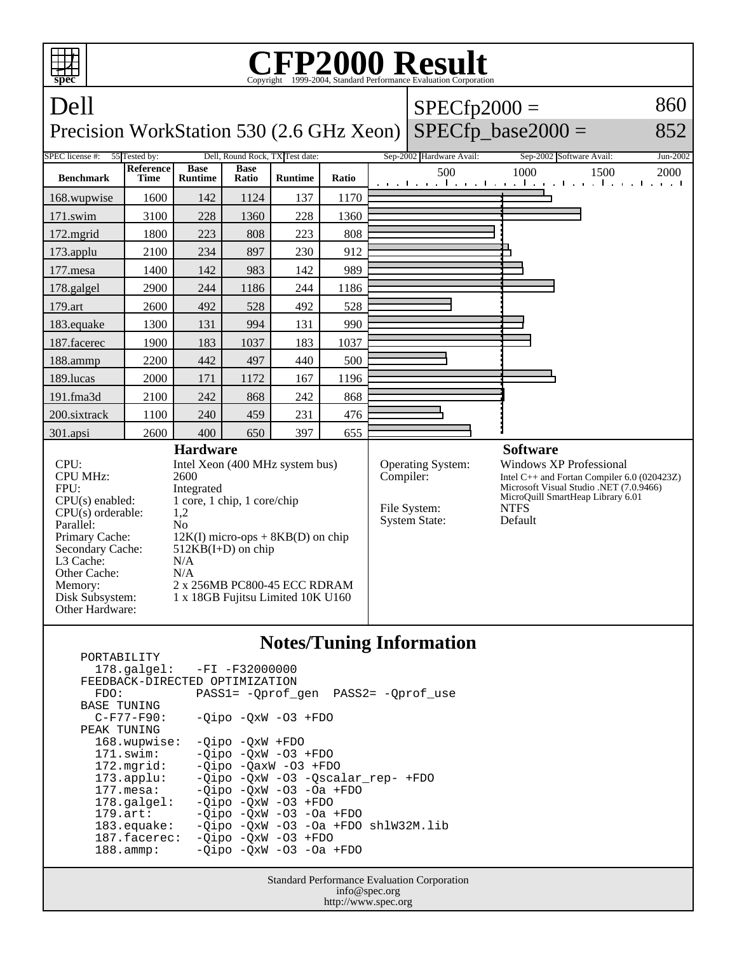

| $178.\text{qalgel}$ :          | -FI -F32000000                         |
|--------------------------------|----------------------------------------|
| FEEDBACK-DIRECTED OPTIMIZATION |                                        |
| FDO:                           | PASS1= - Oprof gen PASS2= - Oprof use  |
| <b>BASE TUNING</b>             |                                        |
| $C-F77-F90:$                   | $-Oipo$ $-OxW$ $-O3$ $+FDO$            |
| PEAK TUNING                    |                                        |
| 168.wupwise:                   | $-Oipo$ $-OxW$ $+FDO$                  |
| $171$ .swim:                   | $-Oipo -OXW -O3 + FDO$                 |
| $172.\text{mgrid}:$            | $-Oipo$ $-OaxW$ $-O3$ $+FDO$           |
| $173.\text{applu}:$            | -Qipo -QxW -03 -Qscalar_rep- +FDO      |
| $177.\text{mesa}$ :            | $-Oipo$ $-OxW$ $-O3$ $-Oa$ $+FDO$      |
| $178.\text{q}$                 | $-Oipo -OXW -O3 + FDO$                 |
| $179.\arct:$                   | $-Oipo$ $-OxW$ $-O3$ $-Oa$ $+FDO$      |
| 183.equake:                    | $-Oipo -OXW -O3 -Oa + FDO sh1W32M.lib$ |
| 187.facerec:                   | $-Oipo -OXW -O3 + FDO$                 |
| $188.\t{amm}:$                 | $-Oipo$ $-OxW$ $-O3$ $-Oa$ $+FDO$      |
|                                |                                        |

Standard Performance Evaluation Corporation info@spec.org http://www.spec.org